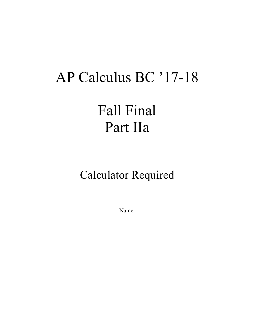# AP Calculus BC '17-18

### Fall Final Part IIa

#### Calculator Required

Name: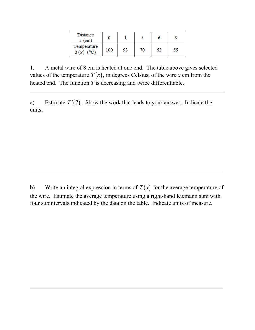| Distance<br>$x$ (cm)       |     |    |     |    |  |
|----------------------------|-----|----|-----|----|--|
| Temperature<br>$T(x)$ (°C) | 100 | 93 | 70. | 62 |  |

1. A metal wire of 8 cm is heated at one end. The table above gives selected values of the temperature  $T(x)$ , in degrees Celsius, of the wire *x* cm from the heated end. The function *T* is decreasing and twice differentiable.

a) Estimate  $T'(7)$ . Show the work that leads to your answer. Indicate the units.

b) Write an integral expression in terms of  $T(x)$  for the average temperature of the wire. Estimate the average temperature using a right-hand Riemann sum with four subintervals indicated by the data on the table. Indicate units of measure.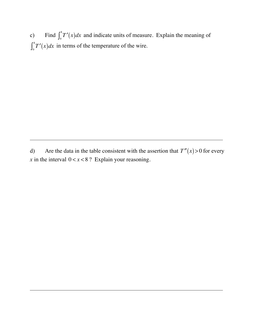c) Find  $\int_0^8 T'(x) dx$  and indicate units of measure. Explain the meaning of  $\int_0^s T'(x) dx$  in terms of the temperature of the wire.

d) Are the data in the table consistent with the assertion that  $T''(x) > 0$  for every *x* in the interval  $0 < x < 8$ ? Explain your reasoning.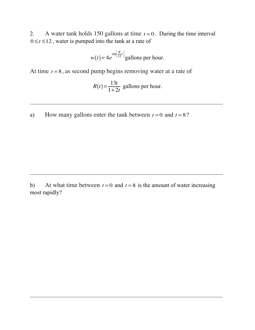2. A water tank holds 150 gallons at time  $t = 0$ . During the time interval  $0 \le t \le 12$ , water is pumped into the tank at a rate of

$$
w(t) = 4e^{\sin\left(\frac{\pi}{12}t\right)}\text{gallons per hour.}
$$

At time  $t = 8$ , as second pump begins removing water at a rate of

$$
R(t) = \frac{13t}{1+2t}
$$
 gallons per hour.

a) How many gallons enter the tank between  $t = 0$  and  $t = 8$ ?

b) At what time between  $t = 0$  and  $t = 8$  is the amount of water increasing most rapidly?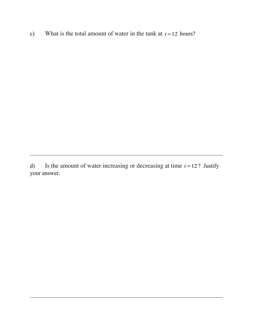c) What is the total amount of water in the tank at  $t = 12$  hours?

d) Is the amount of water increasing or decreasing at time  $t = 12$ ? Justify your answer.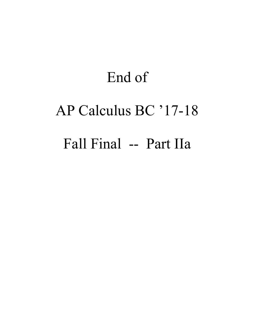## End of AP Calculus BC '17-18 Fall Final -- Part IIa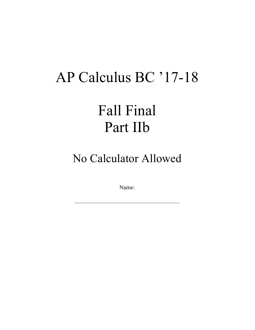### AP Calculus BC '17-18

### Fall Final Part IIb

No Calculator Allowed

Name: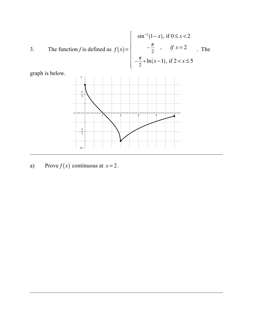3. The function *f* is defined as 
$$
f(x) = \begin{cases} \sin^{-1}(1-x), & \text{if } 0 \le x < 2 \\ -\frac{\pi}{2}, & \text{if } x = 2 \\ -\frac{\pi}{2} + \ln(x-1), & \text{if } 2 < x \le 5 \end{cases}
$$
. The



graph is below.

a) Prove  $f(x)$  continuous at  $x = 2$ .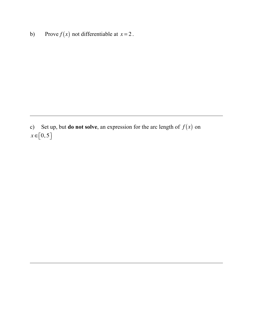b) Prove  $f(x)$  not differentiable at  $x = 2$ .

c) Set up, but **do not solve**, an expression for the arc length of  $f(x)$  on  $x \in [0, 5]$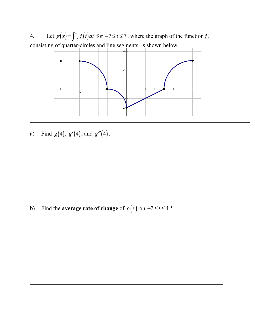4. Let  $g(x) = \int_{-2}^{x} f(t) dt$  for  $-7 \le t \le 7$ , where the graph of the function *f*, consisting of quarter-circles and line segments, is shown below.



a) Find  $g(4)$ ,  $g'(4)$ , and  $g''(4)$ .

b) Find the **average rate of change** of  $g(x)$  on  $-2 \le t \le 4$ ?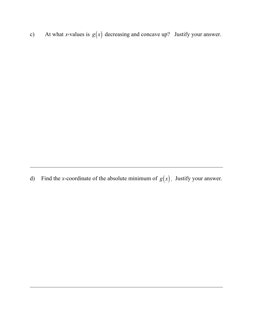c) At what *x*-values is  $g(x)$  decreasing and concave up? Justify your answer.

d) Find the *x*-coordinate of the absolute minimum of  $g(x)$ . Justify your answer.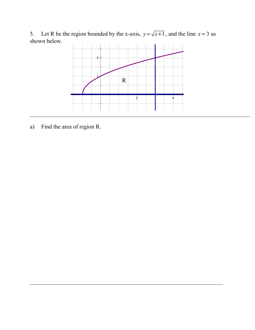5. Let R be the region bounded by the x-axis,  $y = \sqrt{x+1}$ , and the line  $x = 3$  as shown below.



a) Find the area of region R.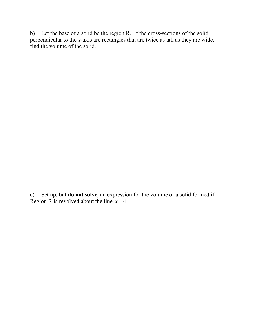b) Let the base of a solid be the region R. If the cross-sections of the solid perpendicular to the *x*-axis are rectangles that are twice as tall as they are wide, find the volume of the solid.

c) Set up, but **do not solve**, an expression for the volume of a solid formed if Region R is revolved about the line  $x = 4$ .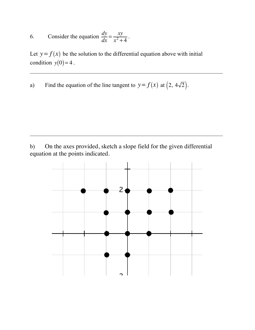6. Consider the equation 
$$
\frac{dy}{dx} = \frac{xy}{x^2 + 4}
$$
.

Let  $y = f(x)$  be the solution to the differential equation above with initial condition  $y(0) = 4$ .

a) Find the equation of the line tangent to  $y = f(x)$  at  $(2, 4\sqrt{2})$ .

b) On the axes provided, sketch a slope field for the given differential equation at the points indicated.

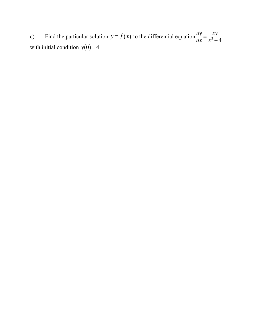c) Find the particular solution  $y = f(x)$  to the differential equation  $\frac{dy}{dx} = \frac{xy}{x^2 + 4}$ with initial condition  $y(0) = 4$ .